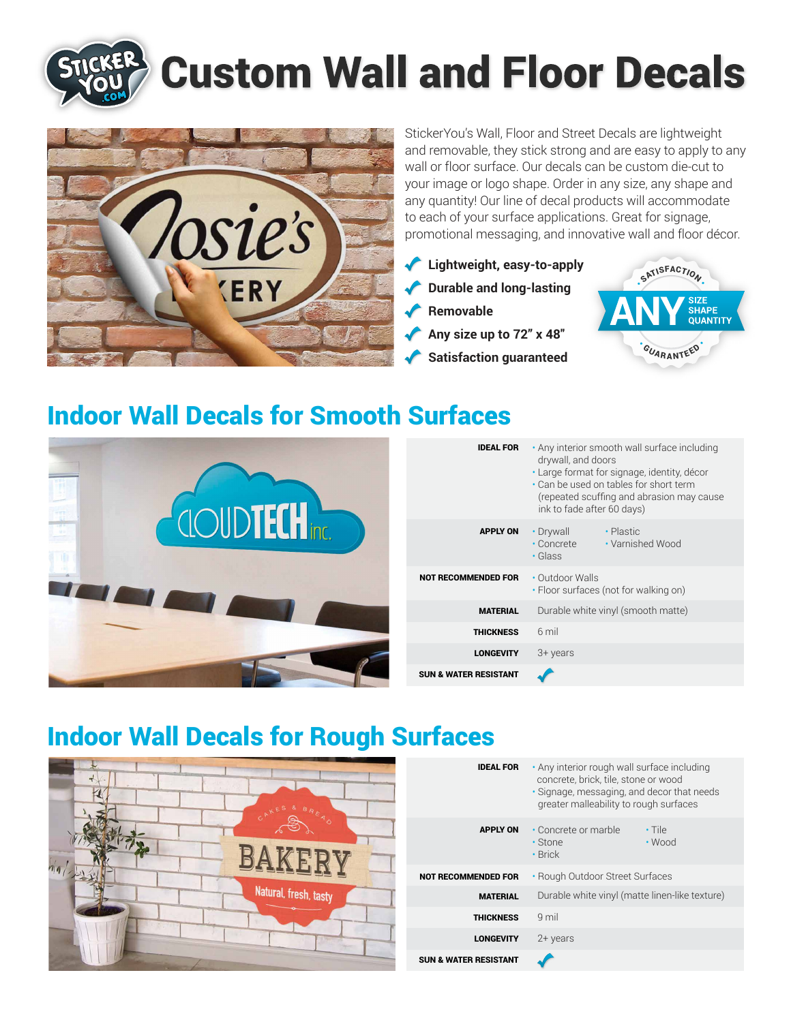

# **Custom Wall and Floor Decals**



StickerYou's Wall, Floor and Street Decals are lightweight and removable, they stick strong and are easy to apply to any wall or floor surface. Our decals can be custom die-cut to your image or logo shape. Order in any size, any shape and any quantity! Our line of decal products will accommodate to each of your surface applications. Great for signage, promotional messaging, and innovative wall and floor décor.

- **Lightweight, easy-to-apply**
- **Durable and long-lasting**
- $\blacktriangleright$ **Removable**
- Any size up to 72" x 48"
- **Satisfaction guaranteed**



#### Indoor Wall Decals for Smooth Surfaces



| <b>IDEAL FOR</b>           | drywall, and doors<br>ink to fade after 60 days) | . Any interior smooth wall surface including<br>· Large format for signage, identity, décor<br>. Can be used on tables for short term<br>(repeated scuffing and abrasion may cause |
|----------------------------|--------------------------------------------------|------------------------------------------------------------------------------------------------------------------------------------------------------------------------------------|
| <b>APPLY ON</b>            | • Drywall<br>• Concrete<br>· Glass               | • Plastic<br>• Varnished Wood                                                                                                                                                      |
| <b>NOT RECOMMENDED FOR</b> | • Outdoor Walls                                  | . Floor surfaces (not for walking on)                                                                                                                                              |
| <b>MATERIAL</b>            |                                                  | Durable white vinyl (smooth matte)                                                                                                                                                 |
| <b>THICKNESS</b>           | 6 mil                                            |                                                                                                                                                                                    |
| <b>LONGEVITY</b>           | 3+ years                                         |                                                                                                                                                                                    |
| SUN & WATER RESISTANT      |                                                  |                                                                                                                                                                                    |

### Indoor Wall Decals for Rough Surfaces



| <b>IDEAL FOR</b>                 | . Any interior rough wall surface including<br>concrete, brick, tile, stone or wood<br>· Signage, messaging, and decor that needs<br>greater malleability to rough surfaces |                        |
|----------------------------------|-----------------------------------------------------------------------------------------------------------------------------------------------------------------------------|------------------------|
| <b>APPLY ON</b>                  | • Concrete or marble<br>• Stone<br>• Brick                                                                                                                                  | $\cdot$ Tile<br>• Wood |
| <b>NOT RECOMMENDED FOR</b>       | • Rough Outdoor Street Surfaces                                                                                                                                             |                        |
| <b>MATERIAL</b>                  | Durable white vinyl (matte linen-like texture)                                                                                                                              |                        |
| <b>THICKNESS</b>                 | 9 mil                                                                                                                                                                       |                        |
| <b>LONGEVITY</b>                 | $2+$ years                                                                                                                                                                  |                        |
| <b>SUN &amp; WATER RESISTANT</b> |                                                                                                                                                                             |                        |
|                                  |                                                                                                                                                                             |                        |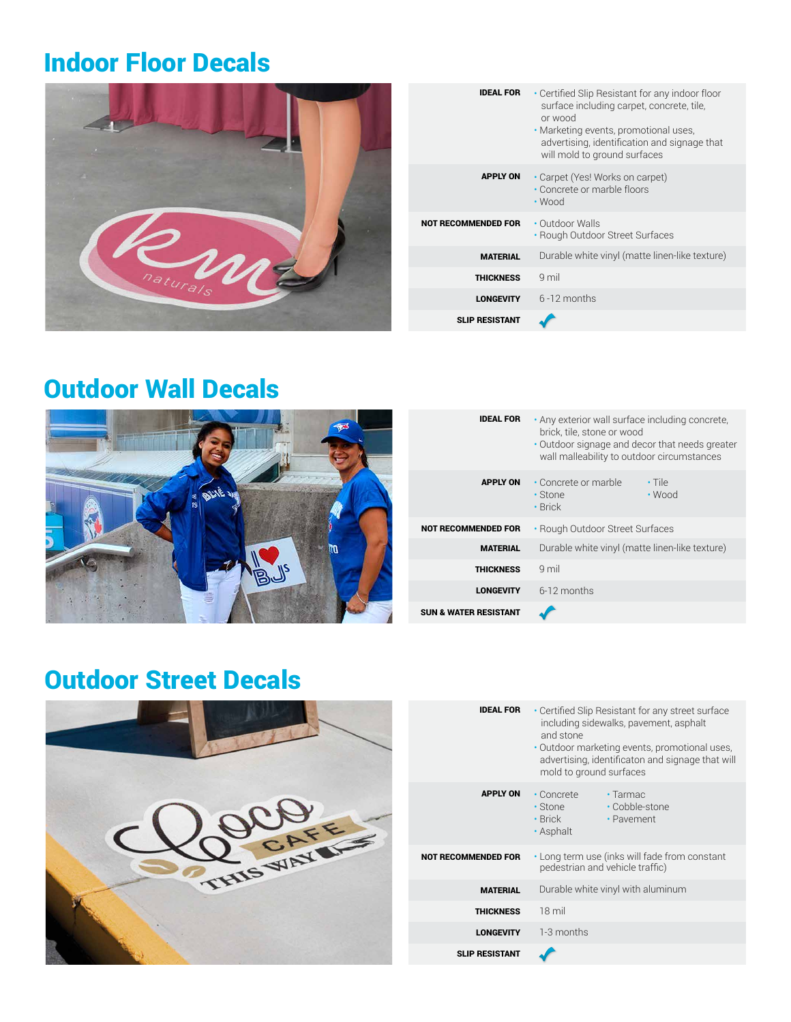#### Indoor Floor Decals



| <b>IDEAL FOR</b>           | • Certified Slip Resistant for any indoor floor<br>surface including carpet, concrete, tile,<br>or wood<br>• Marketing events, promotional uses,<br>advertising, identification and signage that<br>will mold to ground surfaces |
|----------------------------|----------------------------------------------------------------------------------------------------------------------------------------------------------------------------------------------------------------------------------|
| <b>APPLY ON</b>            | • Carpet (Yes! Works on carpet)<br>• Concrete or marble floors<br>• Wood                                                                                                                                                         |
| <b>NOT RECOMMENDED FOR</b> | • Outdoor Walls<br>• Rough Outdoor Street Surfaces                                                                                                                                                                               |
| <b>MATERIAL</b>            | Durable white vinyl (matte linen-like texture)                                                                                                                                                                                   |
| <b>THICKNESS</b>           | 9 mil                                                                                                                                                                                                                            |
| <b>LONGEVITY</b>           | 6-12 months                                                                                                                                                                                                                      |
| <b>SLIP RESISTANT</b>      |                                                                                                                                                                                                                                  |

#### Outdoor Wall Decals



| <b>IDEAL FOR</b>                 | . Any exterior wall surface including concrete,<br>brick, tile, stone or wood<br>• Outdoor signage and decor that needs greater<br>wall malleability to outdoor circumstances |                        |
|----------------------------------|-------------------------------------------------------------------------------------------------------------------------------------------------------------------------------|------------------------|
| <b>APPLY ON</b>                  | • Concrete or marble<br>• Stone<br>• Brick                                                                                                                                    | $\cdot$ Tile<br>• Wood |
| <b>NOT RECOMMENDED FOR</b>       | • Rough Outdoor Street Surfaces                                                                                                                                               |                        |
| <b>MATERIAL</b>                  | Durable white vinyl (matte linen-like texture)                                                                                                                                |                        |
| <b>THICKNESS</b>                 | 9 mil                                                                                                                                                                         |                        |
| <b>LONGEVITY</b>                 | 6-12 months                                                                                                                                                                   |                        |
| <b>SUN &amp; WATER RESISTANT</b> |                                                                                                                                                                               |                        |

### Outdoor Street Decals



| <b>IDEAL FOR</b>      | and stone<br>mold to ground surfaces                | • Certified Slip Resistant for any street surface<br>including sidewalks, pavement, asphalt<br>• Outdoor marketing events, promotional uses,<br>advertising, identificaton and signage that will |
|-----------------------|-----------------------------------------------------|--------------------------------------------------------------------------------------------------------------------------------------------------------------------------------------------------|
| <b>APPLY ON</b>       | • Concrete<br>• Stone<br>$\cdot$ Brick<br>· Asphalt | $\cdot$ Tarmac<br>• Cobble-stone<br>• Pavement                                                                                                                                                   |
| NOT RECOMMENDED FOR   |                                                     | • Long term use (inks will fade from constant<br>pedestrian and vehicle traffic)                                                                                                                 |
| <b>MATERIAL</b>       |                                                     | Durable white vinyl with aluminum                                                                                                                                                                |
| <b>THICKNESS</b>      | 18 mil                                              |                                                                                                                                                                                                  |
| <b>LONGEVITY</b>      | 1-3 months                                          |                                                                                                                                                                                                  |
| <b>SLIP RESISTANT</b> |                                                     |                                                                                                                                                                                                  |